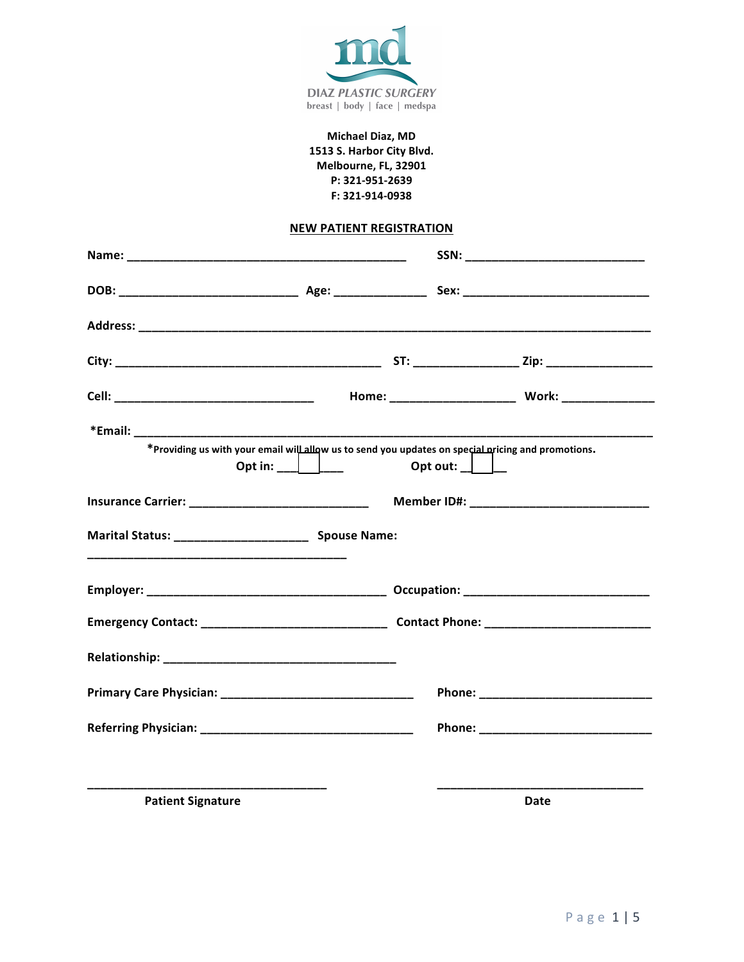

# Michael Diaz, MD 1513 S. Harbor City Blvd. Melbourne, FL, 32901 P: 321-951-2639 F: 321-914-0938

# **NEW PATIENT REGISTRATION**

|                                                                                                                                                                                                                                |                | SSN: _______________________________ |                                                                                                    |  |
|--------------------------------------------------------------------------------------------------------------------------------------------------------------------------------------------------------------------------------|----------------|--------------------------------------|----------------------------------------------------------------------------------------------------|--|
|                                                                                                                                                                                                                                |                |                                      |                                                                                                    |  |
|                                                                                                                                                                                                                                |                |                                      |                                                                                                    |  |
|                                                                                                                                                                                                                                |                |                                      |                                                                                                    |  |
|                                                                                                                                                                                                                                |                |                                      |                                                                                                    |  |
|                                                                                                                                                                                                                                | Opt in: $\Box$ | Opt out: $\Box$                      | *Providing us with your email will allow us to send you updates on special pricing and promotions. |  |
|                                                                                                                                                                                                                                |                |                                      |                                                                                                    |  |
| Marital Status: ________________________ Spouse Name:                                                                                                                                                                          |                |                                      |                                                                                                    |  |
|                                                                                                                                                                                                                                |                |                                      |                                                                                                    |  |
|                                                                                                                                                                                                                                |                |                                      |                                                                                                    |  |
| Relationship: National Property of the Contract of the Contract of the Contract of the Contract of the Contract of the Contract of the Contract of the Contract of the Contract of the Contract of the Contract of the Contrac |                |                                      |                                                                                                    |  |
|                                                                                                                                                                                                                                |                |                                      |                                                                                                    |  |
|                                                                                                                                                                                                                                |                |                                      |                                                                                                    |  |
|                                                                                                                                                                                                                                |                |                                      |                                                                                                    |  |
| <b>Patient Signature</b>                                                                                                                                                                                                       |                |                                      | Date                                                                                               |  |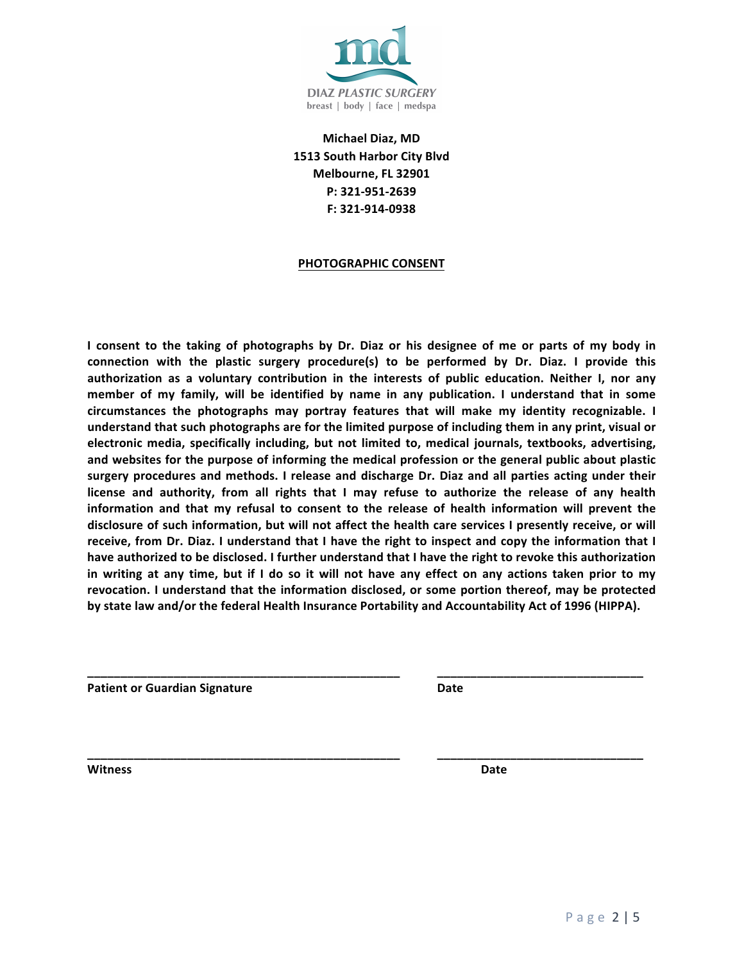

 **Michael Diaz, MD 1513 South Harbor City Blvd Melbourne, FL 32901 P: 321-951-2639 F: 321-914-0938**

### **PHOTOGRAPHIC CONSENT**

I consent to the taking of photographs by Dr. Diaz or his designee of me or parts of my body in connection with the plastic surgery procedure(s) to be performed by Dr. Diaz. I provide this authorization as a voluntary contribution in the interests of public education. Neither I, nor any member of my family, will be identified by name in any publication. I understand that in some  **circumstances the photographs may portray features that will make my identity recognizable. I understand that such photographs are for the limited purpose of including them in any print, visual or electronic media, specifically including, but not limited to, medical journals, textbooks, advertising,** and websites for the purpose of informing the medical profession or the general public about plastic  **surgery procedures and methods. I release and discharge Dr. Diaz and all parties acting under their**  license and authority, from all rights that I may refuse to authorize the release of any health information and that my refusal to consent to the release of health information will prevent the disclosure of such information, but will not affect the health care services I presently receive, or will receive, from Dr. Diaz. I understand that I have the right to inspect and copy the information that I  **have authorized to be disclosed. I further understand that I have the right to revoke this authorization**  in writing at any time, but if I do so it will not have any effect on any actions taken prior to my revocation. I understand that the information disclosed, or some portion thereof, may be protected  **by state law and/or the federal Health Insurance Portability and Accountability Act of 1996 (HIPPA).**

**\_\_\_\_\_\_\_\_\_\_\_\_\_\_\_\_\_\_\_\_\_\_\_\_\_\_\_\_\_\_\_\_\_\_\_\_\_\_\_\_\_\_\_\_\_\_\_ \_\_\_\_\_\_\_\_\_\_\_\_\_\_\_\_\_\_\_\_\_\_\_\_\_\_\_\_\_\_\_**

**\_\_\_\_\_\_\_\_\_\_\_\_\_\_\_\_\_\_\_\_\_\_\_\_\_\_\_\_\_\_\_\_\_\_\_\_\_\_\_\_\_\_\_\_\_\_\_ \_\_\_\_\_\_\_\_\_\_\_\_\_\_\_\_\_\_\_\_\_\_\_\_\_\_\_\_\_\_\_**

**national Contract Contract Contract Contract Contract Contract Contract Contract Contract Contract Contract Contract Contract Contract Contract Contract Contract Contract Contract Contract Contract Contract Contract Contr** 

**Witness Date**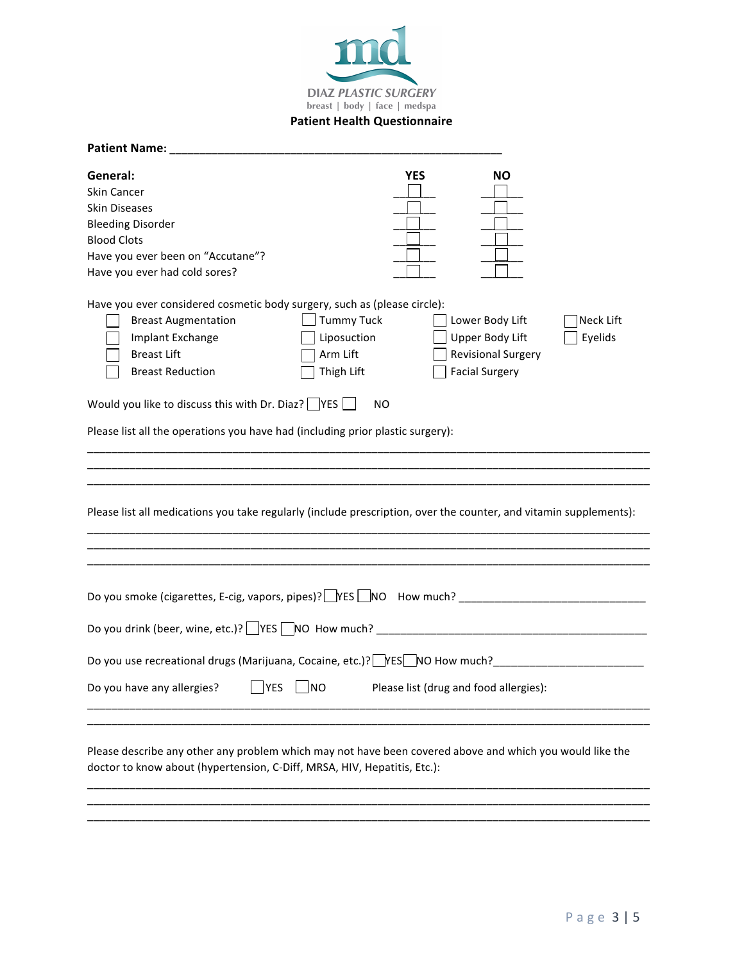

### **Patient Health Questionnaire**

| Patient Name:                                                                                                                                                                        |                                                            |                                                             |                           |                      |
|--------------------------------------------------------------------------------------------------------------------------------------------------------------------------------------|------------------------------------------------------------|-------------------------------------------------------------|---------------------------|----------------------|
| General:<br>Skin Cancer<br><b>Skin Diseases</b><br><b>Bleeding Disorder</b><br><b>Blood Clots</b><br>Have you ever been on "Accutane"?<br>Have you ever had cold sores?              | <b>YES</b>                                                 |                                                             | <b>NO</b>                 |                      |
| Have you ever considered cosmetic body surgery, such as (please circle):<br><b>Breast Augmentation</b><br>Implant Exchange<br><b>Breast Lift</b><br><b>Breast Reduction</b>          | <b>Tummy Tuck</b><br>Liposuction<br>Arm Lift<br>Thigh Lift | Lower Body Lift<br>Upper Body Lift<br><b>Facial Surgery</b> | <b>Revisional Surgery</b> | Neck Lift<br>Eyelids |
| Would you like to discuss this with Dr. Diaz? $\Box$ YES $\Box$                                                                                                                      | NO.                                                        |                                                             |                           |                      |
| Please list all the operations you have had (including prior plastic surgery):                                                                                                       |                                                            |                                                             |                           |                      |
| Please list all medications you take regularly (include prescription, over the counter, and vitamin supplements):                                                                    |                                                            |                                                             |                           |                      |
|                                                                                                                                                                                      |                                                            |                                                             |                           |                      |
|                                                                                                                                                                                      |                                                            |                                                             |                           |                      |
| Do you use recreational drugs (Marijuana, Cocaine, etc.)? FES NO How much? _________________________                                                                                 |                                                            |                                                             |                           |                      |
| Do you have any allergies? $\Box$ YES $\Box$ NO Please list (drug and food allergies):                                                                                               |                                                            |                                                             |                           |                      |
| Please describe any other any problem which may not have been covered above and which you would like the<br>doctor to know about (hypertension, C-Diff, MRSA, HIV, Hepatitis, Etc.): |                                                            |                                                             |                           |                      |
|                                                                                                                                                                                      |                                                            |                                                             |                           |                      |

\_\_\_\_\_\_\_\_\_\_\_\_\_\_\_\_\_\_\_\_\_\_\_\_\_\_\_\_\_\_\_\_\_\_\_\_\_\_\_\_\_\_\_\_\_\_\_\_\_\_\_\_\_\_\_\_\_\_\_\_\_\_\_\_\_\_\_\_\_\_\_\_\_\_\_\_\_\_\_\_\_\_\_\_\_\_\_\_\_\_\_\_\_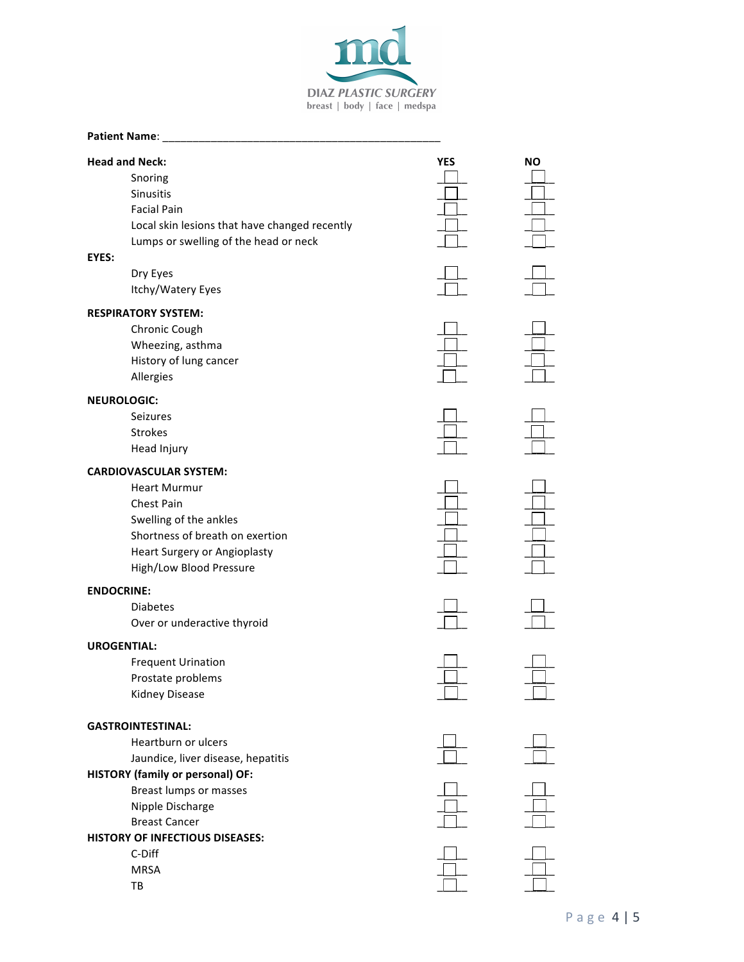

### **Patient Name:**

| <b>Head and Neck:</b><br>Snoring              | <b>YES</b> | <b>NO</b> |
|-----------------------------------------------|------------|-----------|
| Sinusitis                                     |            |           |
| <b>Facial Pain</b>                            |            |           |
| Local skin lesions that have changed recently |            |           |
| Lumps or swelling of the head or neck         |            |           |
| EYES:                                         |            |           |
| Dry Eyes                                      |            |           |
| Itchy/Watery Eyes                             |            |           |
| <b>RESPIRATORY SYSTEM:</b>                    |            |           |
| Chronic Cough                                 |            |           |
| Wheezing, asthma                              |            |           |
| History of lung cancer                        |            |           |
| Allergies                                     |            |           |
| <b>NEUROLOGIC:</b>                            |            |           |
| <b>Seizures</b>                               |            |           |
| <b>Strokes</b>                                |            |           |
| Head Injury                                   |            |           |
| <b>CARDIOVASCULAR SYSTEM:</b>                 |            |           |
| <b>Heart Murmur</b>                           |            |           |
| Chest Pain                                    |            |           |
| Swelling of the ankles                        |            |           |
| Shortness of breath on exertion               |            |           |
| Heart Surgery or Angioplasty                  |            |           |
| High/Low Blood Pressure                       |            |           |
| <b>ENDOCRINE:</b>                             |            |           |
| <b>Diabetes</b>                               |            |           |
| Over or underactive thyroid                   |            |           |
| <b>UROGENTIAL:</b>                            |            |           |
| <b>Frequent Urination</b>                     |            |           |
| Prostate problems                             |            |           |
| Kidney Disease                                |            |           |
|                                               |            |           |
| <b>GASTROINTESTINAL:</b>                      |            |           |
| Heartburn or ulcers                           |            |           |
| Jaundice, liver disease, hepatitis            |            |           |
| <b>HISTORY (family or personal) OF:</b>       |            |           |
| <b>Breast lumps or masses</b>                 |            |           |
| Nipple Discharge                              |            |           |
| <b>Breast Cancer</b>                          |            |           |
| HISTORY OF INFECTIOUS DISEASES:               |            |           |
| C-Diff                                        |            |           |
| <b>MRSA</b>                                   |            |           |
| TB                                            |            |           |